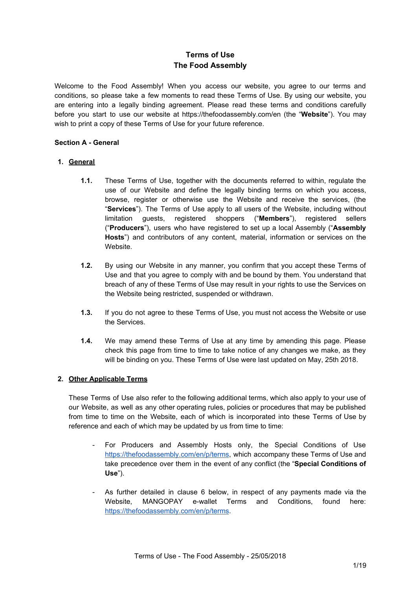# **Terms of Use The Food Assembly**

Welcome to the Food Assembly! When you access our website, you agree to our terms and conditions, so please take a few moments to read these Terms of Use. By using our website, you are entering into a legally binding agreement. Please read these terms and conditions carefully before you start to use our website at https://thefoodassembly.com/en (the "**Website**"). You may wish to print a copy of these Terms of Use for your future reference.

## **Section A - General**

## **1. General**

- **1.1.** These Terms of Use, together with the documents referred to within, regulate the use of our Website and define the legally binding terms on which you access, browse, register or otherwise use the Website and receive the services, (the "**Services**"). The Terms of Use apply to all users of the Website, including without limitation quests, reqistered shoppers ("**Members**"), reqistered sellers limitation guests, registered shoppers ("**Producers**"), users who have registered to set up a local Assembly ("**Assembly Hosts**") and contributors of any content, material, information or services on the Website.
- **1.2.** By using our Website in any manner, you confirm that you accept these Terms of Use and that you agree to comply with and be bound by them. You understand that breach of any of these Terms of Use may result in your rights to use the Services on the Website being restricted, suspended or withdrawn.
- **1.3.** If you do not agree to these Terms of Use, you must not access the Website or use the Services.
- **1.4.** We may amend these Terms of Use at any time by amending this page. Please check this page from time to time to take notice of any changes we make, as they will be binding on you. These Terms of Use were last updated on May, 25th 2018.

### **2. Other Applicable Terms**

These Terms of Use also refer to the following additional terms, which also apply to your use of our Website, as well as any other operating rules, policies or procedures that may be published from time to time on the Website, each of which is incorporated into these Terms of Use by reference and each of which may be updated by us from time to time:

- For Producers and Assembly Hosts only, the Special Conditions of Use <https://thefoodassembly.com/en/p/terms>, which accompany these Terms of Use and take precedence over them in the event of any conflict (the "**Special Conditions of Use**").
- As further detailed in clause 6 below, in respect of any payments made via the Website, MANGOPAY e-wallet Terms and Conditions, found here: <https://thefoodassembly.com/en/p/terms>.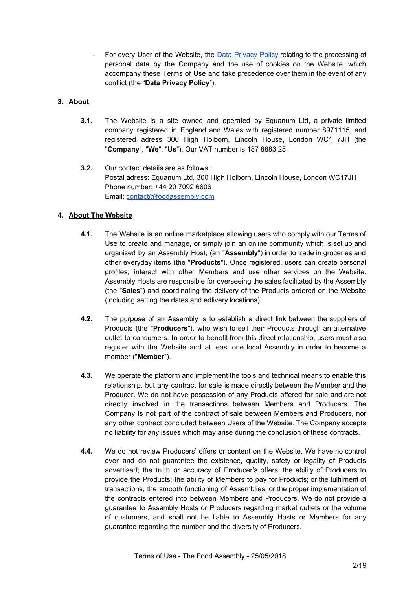For every User of the Website, the Data [Privacy](https://d252gktqfh773f.cloudfront.net/fr/p/assets/documents/en-GB/terms-25-05-2018/cookie-policy.pdf) Policy relating to the processing of personal data by the Company and the use of cookies on the Website, which accompany these Terms of Use and take precedence over them in the event of any conflict (the "**Data Privacy Policy**").

# **3. About**

- **3.1.** The Website is a site owned and operated by Equanum Ltd, a private limited company registered in England and Wales with registered number 8971115, and registered adress 300 High Holborn, Lincoln House, London WC1 7JH (the "**Company**", "**We**", "**Us**"). Our VAT number is 187 8883 28.
- **3.2.** Our contact details are as follows : Postal adress: Equanum Ltd, 300 High Holborn, Lincoln House, London WC17JH Phone number: +44 20 7092 6606 Email: [contact@foodassembly.com](mailto:contact@foodassembly.com)

# **4. About The Website**

- **4.1.** The Website is an online marketplace allowing users who comply with our Terms of Use to create and manage, or simply join an online community which is set up and organised by an Assembly Host, (an "**Assembly**") in order to trade in groceries and other everyday items (the "**Products**"). Once registered, users can create personal profiles, interact with other Members and use other services on the Website. Assembly Hosts are responsible for overseeing the sales facilitated by the Assembly (the "**Sales**") and coordinating the delivery of the Products ordered on the Website (including setting the dates and edlivery locations).
- **4.2.** The purpose of an Assembly is to establish a direct link between the suppliers of Products (the "**Producers**"), who wish to sell their Products through an alternative outlet to consumers. In order to benefit from this direct relationship, users must also register with the Website and at least one local Assembly in order to become a member ("**Member**").
- **4.3.** We operate the platform and implement the tools and technical means to enable this relationship, but any contract for sale is made directly between the Member and the Producer. We do not have possession of any Products offered for sale and are not directly involved in the transactions between Members and Producers. The Company is not part of the contract of sale between Members and Producers, nor any other contract concluded between Users of the Website. The Company accepts no liability for any issues which may arise during the conclusion of these contracts.
- **4.4.** We do not review Producers' offers or content on the Website. We have no control over and do not guarantee the existence, quality, safety or legality of Products advertised; the truth or accuracy of Producer's offers, the ability of Producers to provide the Products; the ability of Members to pay for Products; or the fulfilment of transactions, the smooth functioning of Assemblies, or the proper implementation of the contracts entered into between Members and Producers. We do not provide a guarantee to Assembly Hosts or Producers regarding market outlets or the volume of customers, and shall not be liable to Assembly Hosts or Members for any guarantee regarding the number and the diversity of Producers.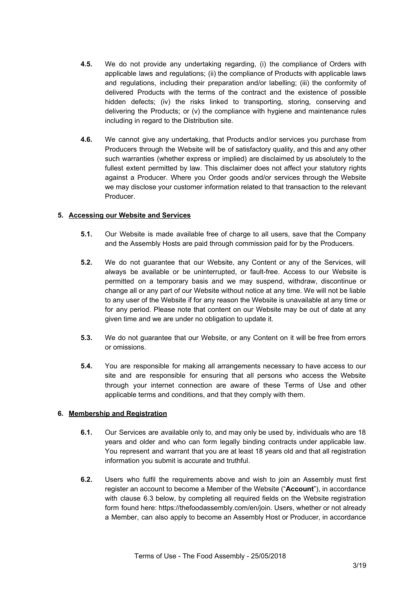- **4.5.** We do not provide any undertaking regarding, (i) the compliance of Orders with applicable laws and regulations; (ii) the compliance of Products with applicable laws and regulations, including their preparation and/or labelling; (iii) the conformity of delivered Products with the terms of the contract and the existence of possible hidden defects; (iv) the risks linked to transporting, storing, conserving and delivering the Products; or (v) the compliance with hygiene and maintenance rules including in regard to the Distribution site.
- **4.6.** We cannot give any undertaking, that Products and/or services you purchase from Producers through the Website will be of satisfactory quality, and this and any other such warranties (whether express or implied) are disclaimed by us absolutely to the fullest extent permitted by law. This disclaimer does not affect your statutory rights against a Producer. Where you Order goods and/or services through the Website we may disclose your customer information related to that transaction to the relevant Producer.

### **5. Accessing our Website and Services**

- **5.1.** Our Website is made available free of charge to all users, save that the Company and the Assembly Hosts are paid through commission paid for by the Producers.
- **5.2.** We do not guarantee that our Website, any Content or any of the Services, will always be available or be uninterrupted, or fault-free. Access to our Website is permitted on a temporary basis and we may suspend, withdraw, discontinue or change all or any part of our Website without notice at any time. We will not be liable to any user of the Website if for any reason the Website is unavailable at any time or for any period. Please note that content on our Website may be out of date at any given time and we are under no obligation to update it.
- **5.3.** We do not guarantee that our Website, or any Content on it will be free from errors or omissions.
- **5.4.** You are responsible for making all arrangements necessary to have access to our site and are responsible for ensuring that all persons who access the Website through your internet connection are aware of these Terms of Use and other applicable terms and conditions, and that they comply with them.

### **6. Membership and Registration**

- **6.1.** Our Services are available only to, and may only be used by, individuals who are 18 years and older and who can form legally binding contracts under applicable law. You represent and warrant that you are at least 18 years old and that all registration information you submit is accurate and truthful.
- **6.2.** Users who fulfil the requirements above and wish to join an Assembly must first register an account to become a Member of the Website ("**Account**"), in accordance with clause 6.3 below, by completing all required fields on the Website registration form found here: https://thefoodassembly.com/en/join. Users, whether or not already a Member, can also apply to become an Assembly Host or Producer, in accordance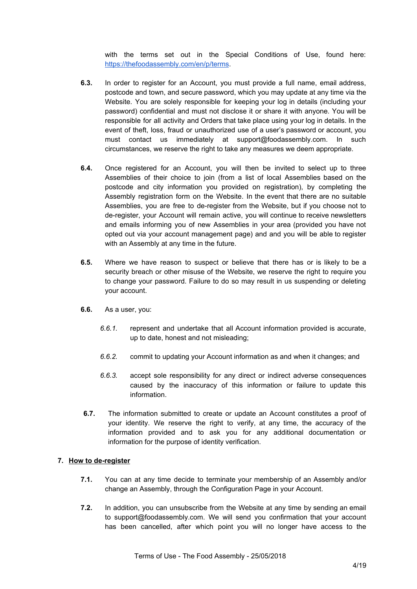with the terms set out in the Special Conditions of Use, found here: <https://thefoodassembly.com/en/p/terms>.

- **6.3.** In order to register for an Account, you must provide a full name, email address, postcode and town, and secure password, which you may update at any time via the Website. You are solely responsible for keeping your log in details (including your password) confidential and must not disclose it or share it with anyone. You will be responsible for all activity and Orders that take place using your log in details. In the event of theft, loss, fraud or unauthorized use of a user's password or account, you must contact us immediately at support@foodassembly.com. In such circumstances, we reserve the right to take any measures we deem appropriate.
- **6.4.** Once registered for an Account, you will then be invited to select up to three Assemblies of their choice to join (from a list of local Assemblies based on the postcode and city information you provided on registration), by completing the Assembly registration form on the Website. In the event that there are no suitable Assemblies, you are free to de-register from the Website, but if you choose not to de-register, your Account will remain active, you will continue to receive newsletters and emails informing you of new Assemblies in your area (provided you have not opted out via your account management page) and and you will be able to register with an Assembly at any time in the future.
- **6.5.** Where we have reason to suspect or believe that there has or is likely to be a security breach or other misuse of the Website, we reserve the right to require you to change your password. Failure to do so may result in us suspending or deleting your account.
- **6.6.** As a user, you:
	- *6.6.1.* represent and undertake that all Account information provided is accurate, up to date, honest and not misleading;
	- *6.6.2.* commit to updating your Account information as and when it changes; and
	- *6.6.3.* accept sole responsibility for any direct or indirect adverse consequences caused by the inaccuracy of this information or failure to update this information.
- **6.7.** The information submitted to create or update an Account constitutes a proof of your identity. We reserve the right to verify, at any time, the accuracy of the information provided and to ask you for any additional documentation or information for the purpose of identity verification.

### **7. How to de-register**

- **7.1.** You can at any time decide to terminate your membership of an Assembly and/or change an Assembly, through the Configuration Page in your Account.
- **7.2.** In addition, you can unsubscribe from the Website at any time by sending an email to support@foodassembly.com. We will send you confirmation that your account has been cancelled, after which point you will no longer have access to the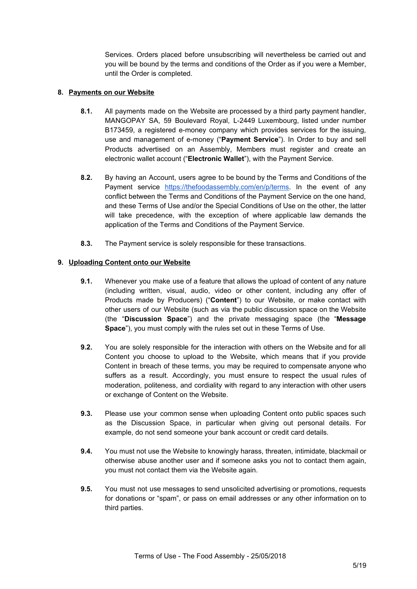Services. Orders placed before unsubscribing will nevertheless be carried out and you will be bound by the terms and conditions of the Order as if you were a Member, until the Order is completed.

### **8. Payments on our Website**

- **8.1.** All payments made on the Website are processed by a third party payment handler, MANGOPAY SA, 59 Boulevard Royal, L-2449 Luxembourg, listed under number B173459, a registered e-money company which provides services for the issuing, use and management of e-money ("**Payment Service**"). In Order to buy and sell Products advertised on an Assembly, Members must register and create an electronic wallet account ("**Electronic Wallet**"), with the Payment Service.
- **8.2.** By having an Account, users agree to be bound by the Terms and Conditions of the Payment service [https://thefoodassembly.com/en/p/terms.](https://thefoodassembly.com/en/p/terms) In the event of any conflict between the Terms and Conditions of the Payment Service on the one hand, and these Terms of Use and/or the Special Conditions of Use on the other, the latter will take precedence, with the exception of where applicable law demands the application of the Terms and Conditions of the Payment Service.
- **8.3.** The Payment service is solely responsible for these transactions.

## **9. Uploading Content onto our Website**

- **9.1.** Whenever you make use of a feature that allows the upload of content of any nature (including written, visual, audio, video or other content, including any offer of Products made by Producers) ("**Content**") to our Website, or make contact with other users of our Website (such as via the public discussion space on the Website (the "**Discussion Space**") and the private messaging space (the "**Message Space**"), you must comply with the rules set out in these Terms of Use.
- **9.2.** You are solely responsible for the interaction with others on the Website and for all Content you choose to upload to the Website, which means that if you provide Content in breach of these terms, you may be required to compensate anyone who suffers as a result. Accordingly, you must ensure to respect the usual rules of moderation, politeness, and cordiality with regard to any interaction with other users or exchange of Content on the Website.
- **9.3.** Please use your common sense when uploading Content onto public spaces such as the Discussion Space, in particular when giving out personal details. For example, do not send someone your bank account or credit card details.
- **9.4.** You must not use the Website to knowingly harass, threaten, intimidate, blackmail or otherwise abuse another user and if someone asks you not to contact them again, you must not contact them via the Website again.
- **9.5.** You must not use messages to send unsolicited advertising or promotions, requests for donations or "spam", or pass on email addresses or any other information on to third parties.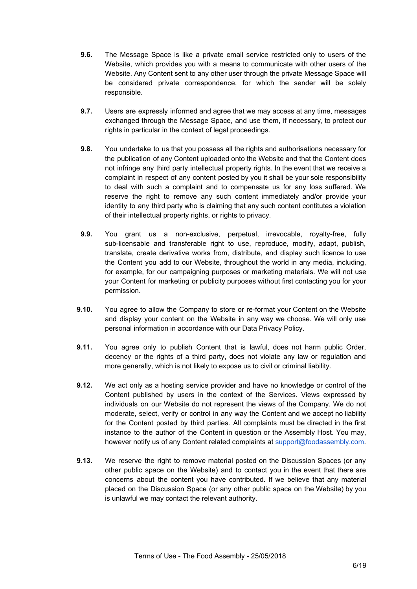- **9.6.** The Message Space is like a private email service restricted only to users of the Website, which provides you with a means to communicate with other users of the Website. Any Content sent to any other user through the private Message Space will be considered private correspondence, for which the sender will be solely responsible.
- **9.7.** Users are expressly informed and agree that we may access at any time, messages exchanged through the Message Space, and use them, if necessary, to protect our rights in particular in the context of legal proceedings.
- **9.8.** You undertake to us that you possess all the rights and authorisations necessary for the publication of any Content uploaded onto the Website and that the Content does not infringe any third party intellectual property rights. In the event that we receive a complaint in respect of any content posted by you it shall be your sole responsibility to deal with such a complaint and to compensate us for any loss suffered. We reserve the right to remove any such content immediately and/or provide your identity to any third party who is claiming that any such content contitutes a violation of their intellectual property rights, or rights to privacy.
- **9.9.** You grant us a non-exclusive, perpetual, irrevocable, royalty-free, fully sub-licensable and transferable right to use, reproduce, modify, adapt, publish, translate, create derivative works from, distribute, and display such licence to use the Content you add to our Website, throughout the world in any media, including, for example, for our campaigning purposes or marketing materials. We will not use your Content for marketing or publicity purposes without first contacting you for your permission.
- **9.10.** You agree to allow the Company to store or re-format your Content on the Website and display your content on the Website in any way we choose. We will only use personal information in accordance with our Data Privacy Policy.
- **9.11.** You agree only to publish Content that is lawful, does not harm public Order, decency or the rights of a third party, does not violate any law or regulation and more generally, which is not likely to expose us to civil or criminal liability.
- **9.12.** We act only as a hosting service provider and have no knowledge or control of the Content published by users in the context of the Services. Views expressed by individuals on our Website do not represent the views of the Company. We do not moderate, select, verify or control in any way the Content and we accept no liability for the Content posted by third parties. All complaints must be directed in the first instance to the author of the Content in question or the Assembly Host. You may, however notify us of any Content related complaints at [support@foodassembly.com.](mailto:support@foodassembly.com)
- **9.13.** We reserve the right to remove material posted on the Discussion Spaces (or any other public space on the Website) and to contact you in the event that there are concerns about the content you have contributed. If we believe that any material placed on the Discussion Space (or any other public space on the Website) by you is unlawful we may contact the relevant authority.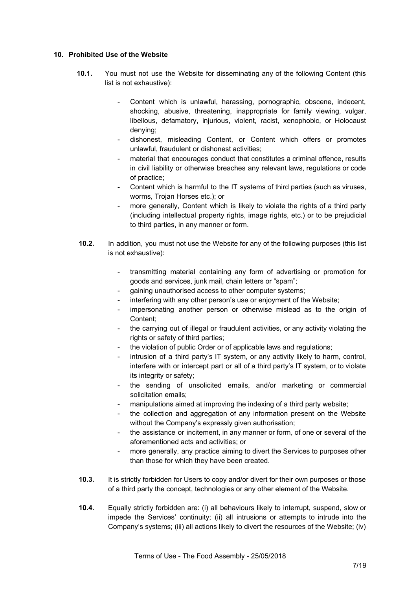### **10. Prohibited Use of the Website**

- **10.1.** You must not use the Website for disseminating any of the following Content (this list is not exhaustive):
	- Content which is unlawful, harassing, pornographic, obscene, indecent, shocking, abusive, threatening, inappropriate for family viewing, vulgar, libellous, defamatory, injurious, violent, racist, xenophobic, or Holocaust denying;
	- dishonest, misleading Content, or Content which offers or promotes unlawful, fraudulent or dishonest activities;
	- material that encourages conduct that constitutes a criminal offence, results in civil liability or otherwise breaches any relevant laws, regulations or code of practice;
	- Content which is harmful to the IT systems of third parties (such as viruses, worms, Trojan Horses etc.); or
	- more generally, Content which is likely to violate the rights of a third party (including intellectual property rights, image rights, etc.) or to be prejudicial to third parties, in any manner or form.
- **10.2.** In addition, you must not use the Website for any of the following purposes (this list is not exhaustive):
	- transmitting material containing any form of advertising or promotion for goods and services, junk mail, chain letters or "spam";
	- gaining unauthorised access to other computer systems;
	- interfering with any other person's use or enjoyment of the Website;
	- impersonating another person or otherwise mislead as to the origin of Content;
	- the carrying out of illegal or fraudulent activities, or any activity violating the rights or safety of third parties;
	- the violation of public Order or of applicable laws and regulations;
	- intrusion of a third party's IT system, or any activity likely to harm, control, interfere with or intercept part or all of a third party's IT system, or to violate its integrity or safety;
	- the sending of unsolicited emails, and/or marketing or commercial solicitation emails;
	- manipulations aimed at improving the indexing of a third party website;
	- the collection and aggregation of any information present on the Website without the Company's expressly given authorisation;
	- the assistance or incitement, in any manner or form, of one or several of the aforementioned acts and activities; or
	- more generally, any practice aiming to divert the Services to purposes other than those for which they have been created.
- **10.3.** It is strictly forbidden for Users to copy and/or divert for their own purposes or those of a third party the concept, technologies or any other element of the Website.
- **10.4.** Equally strictly forbidden are: (i) all behaviours likely to interrupt, suspend, slow or impede the Services' continuity; (ii) all intrusions or attempts to intrude into the Company's systems; (iii) all actions likely to divert the resources of the Website; (iv)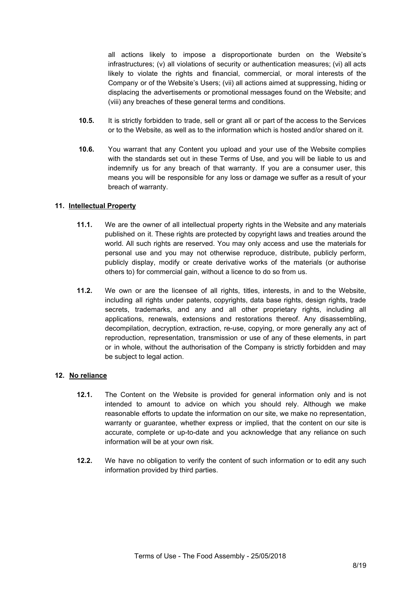all actions likely to impose a disproportionate burden on the Website's infrastructures; (v) all violations of security or authentication measures; (vi) all acts likely to violate the rights and financial, commercial, or moral interests of the Company or of the Website's Users; (vii) all actions aimed at suppressing, hiding or displacing the advertisements or promotional messages found on the Website; and (viii) any breaches of these general terms and conditions.

- **10.5.** It is strictly forbidden to trade, sell or grant all or part of the access to the Services or to the Website, as well as to the information which is hosted and/or shared on it.
- **10.6.** You warrant that any Content you upload and your use of the Website complies with the standards set out in these Terms of Use, and you will be liable to us and indemnify us for any breach of that warranty. If you are a consumer user, this means you will be responsible for any loss or damage we suffer as a result of your breach of warranty.

### **11. Intellectual Property**

- **11.1.** We are the owner of all intellectual property rights in the Website and any materials published on it. These rights are protected by copyright laws and treaties around the world. All such rights are reserved. You may only access and use the materials for personal use and you may not otherwise reproduce, distribute, publicly perform, publicly display, modify or create derivative works of the materials (or authorise others to) for commercial gain, without a licence to do so from us.
- **11.2.** We own or are the licensee of all rights, titles, interests, in and to the Website, including all rights under patents, copyrights, data base rights, design rights, trade secrets, trademarks, and any and all other proprietary rights, including all applications, renewals, extensions and restorations thereof. Any disassembling, decompilation, decryption, extraction, re-use, copying, or more generally any act of reproduction, representation, transmission or use of any of these elements, in part or in whole, without the authorisation of the Company is strictly forbidden and may be subject to legal action.

#### **12. No reliance**

- **12.1.** The Content on the Website is provided for general information only and is not intended to amount to advice on which you should rely. Although we make reasonable efforts to update the information on our site, we make no representation, warranty or guarantee, whether express or implied, that the content on our site is accurate, complete or up-to-date and you acknowledge that any reliance on such information will be at your own risk.
- **12.2.** We have no obligation to verify the content of such information or to edit any such information provided by third parties.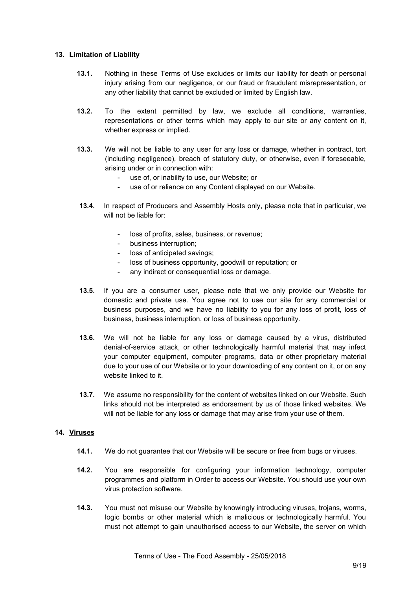### **13. Limitation of Liability**

- **13.1.** Nothing in these Terms of Use excludes or limits our liability for death or personal injury arising from our negligence, or our fraud or fraudulent misrepresentation, or any other liability that cannot be excluded or limited by English law.
- **13.2.** To the extent permitted by law, we exclude all conditions, warranties, representations or other terms which may apply to our site or any content on it, whether express or implied.
- **13.3.** We will not be liable to any user for any loss or damage, whether in contract, tort (including negligence), breach of statutory duty, or otherwise, even if foreseeable, arising under or in connection with:
	- use of, or inability to use, our Website; or
	- use of or reliance on any Content displayed on our Website.
- **13.4.** In respect of Producers and Assembly Hosts only, please note that in particular, we will not be liable for:
	- loss of profits, sales, business, or revenue;
	- business interruption;
	- loss of anticipated savings;
	- loss of business opportunity, goodwill or reputation; or
	- any indirect or consequential loss or damage.
- **13.5.** If you are a consumer user, please note that we only provide our Website for domestic and private use. You agree not to use our site for any commercial or business purposes, and we have no liability to you for any loss of profit, loss of business, business interruption, or loss of business opportunity.
- **13.6.** We will not be liable for any loss or damage caused by a virus, distributed denial-of-service attack, or other technologically harmful material that may infect your computer equipment, computer programs, data or other proprietary material due to your use of our Website or to your downloading of any content on it, or on any website linked to it.
- **13.7.** We assume no responsibility for the content of websites linked on our Website. Such links should not be interpreted as endorsement by us of those linked websites. We will not be liable for any loss or damage that may arise from your use of them.

### **14. Viruses**

- **14.1.** We do not guarantee that our Website will be secure or free from bugs or viruses.
- **14.2.** You are responsible for configuring your information technology, computer programmes and platform in Order to access our Website. You should use your own virus protection software.
- **14.3.** You must not misuse our Website by knowingly introducing viruses, trojans, worms, logic bombs or other material which is malicious or technologically harmful. You must not attempt to gain unauthorised access to our Website, the server on which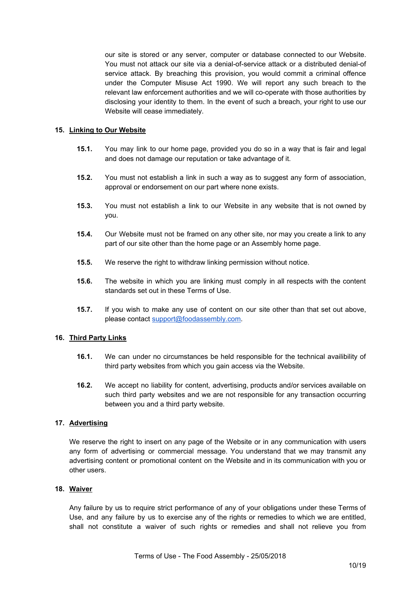our site is stored or any server, computer or database connected to our Website. You must not attack our site via a denial-of-service attack or a distributed denial-of service attack. By breaching this provision, you would commit a criminal offence under the Computer Misuse Act 1990. We will report any such breach to the relevant law enforcement authorities and we will co-operate with those authorities by disclosing your identity to them. In the event of such a breach, your right to use our Website will cease immediately.

### **15. Linking to Our Website**

- **15.1.** You may link to our home page, provided you do so in a way that is fair and legal and does not damage our reputation or take advantage of it.
- **15.2.** You must not establish a link in such a way as to suggest any form of association, approval or endorsement on our part where none exists.
- **15.3.** You must not establish a link to our Website in any website that is not owned by you.
- **15.4.** Our Website must not be framed on any other site, nor may you create a link to any part of our site other than the home page or an Assembly home page.
- **15.5.** We reserve the right to withdraw linking permission without notice.
- **15.6.** The website in which you are linking must comply in all respects with the content standards set out in these Terms of Use.
- **15.7.** If you wish to make any use of content on our site other than that set out above, please contact [support@foodassembly.com.](mailto:support@foodassembly.com)

#### **16. Third Party Links**

- **16.1.** We can under no circumstances be held responsible for the technical availibility of third party websites from which you gain access via the Website.
- **16.2.** We accept no liability for content, advertising, products and/or services available on such third party websites and we are not responsible for any transaction occurring between you and a third party website.

### **17. Advertising**

We reserve the right to insert on any page of the Website or in any communication with users any form of advertising or commercial message. You understand that we may transmit any advertising content or promotional content on the Website and in its communication with you or other users.

#### **18. Waiver**

Any failure by us to require strict performance of any of your obligations under these Terms of Use, and any failure by us to exercise any of the rights or remedies to which we are entitled, shall not constitute a waiver of such rights or remedies and shall not relieve you from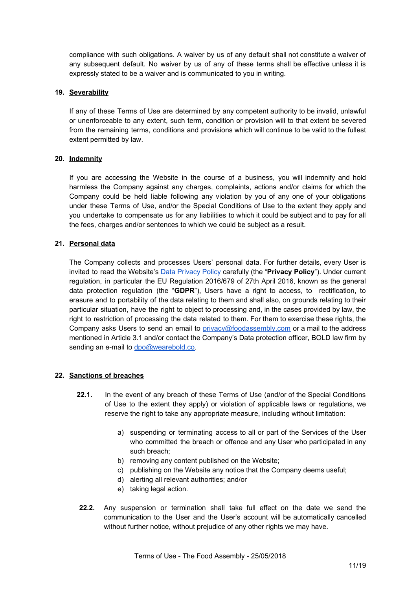compliance with such obligations. A waiver by us of any default shall not constitute a waiver of any subsequent default. No waiver by us of any of these terms shall be effective unless it is expressly stated to be a waiver and is communicated to you in writing.

### **19. Severability**

If any of these Terms of Use are determined by any competent authority to be invalid, unlawful or unenforceable to any extent, such term, condition or provision will to that extent be severed from the remaining terms, conditions and provisions which will continue to be valid to the fullest extent permitted by law.

#### **20. Indemnity**

If you are accessing the Website in the course of a business, you will indemnify and hold harmless the Company against any charges, complaints, actions and/or claims for which the Company could be held liable following any violation by you of any one of your obligations under these Terms of Use, and/or the Special Conditions of Use to the extent they apply and you undertake to compensate us for any liabilities to which it could be subject and to pay for all the fees, charges and/or sentences to which we could be subject as a result.

#### **21. Personal data**

The Company collects and processes Users' personal data. For further details, every User is invited to read the Website's Data [Privacy](https://d252gktqfh773f.cloudfront.net/fr/p/assets/documents/en-GB/terms-25-05-2018/cookie-policy.pdf) Policy carefully (the "**Privacy Policy**"). Under current regulation, in particular the EU Regulation 2016/679 of 27th April 2016, known as the general data protection regulation (the "**GDPR**"), Users have a right to access, to rectification, to erasure and to portability of the data relating to them and shall also, on grounds relating to their particular situation, have the right to object to processing and, in the cases provided by law, the right to restriction of processing the data related to them. For them to exercise these rights, the Company asks Users to send an email to [privacy@foodassembly.com](mailto:privacy@foodassembly.com) or a mail to the address mentioned in Article 3.1 and/or contact the Company's Data protection officer, BOLD law firm by sending an e-mail to [dpo@wearebold.co](mailto:dpo@wearebold.co).

### **22. Sanctions of breaches**

- **22.1.** In the event of any breach of these Terms of Use (and/or of the Special Conditions of Use to the extent they apply) or violation of applicable laws or regulations, we reserve the right to take any appropriate measure, including without limitation:
	- a) suspending or terminating access to all or part of the Services of the User who committed the breach or offence and any User who participated in any such breach;
	- b) removing any content published on the Website;
	- c) publishing on the Website any notice that the Company deems useful;
	- d) alerting all relevant authorities; and/or
	- e) taking legal action.
- **22.2.** Any suspension or termination shall take full effect on the date we send the communication to the User and the User's account will be automatically cancelled without further notice, without prejudice of any other rights we may have.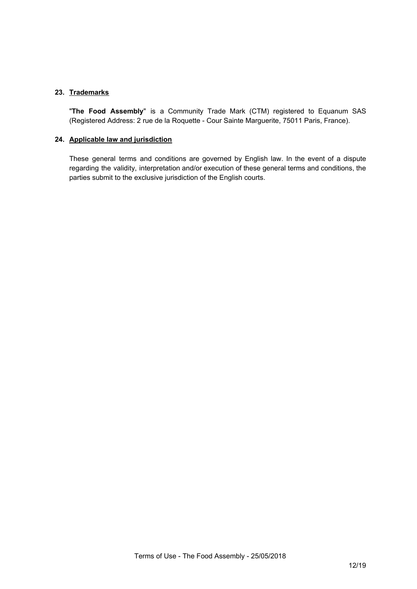### **23. Trademarks**

"**The Food Assembly**" is a Community Trade Mark (CTM) registered to Equanum SAS (Registered Address: 2 rue de la Roquette - Cour Sainte Marguerite, 75011 Paris, France).

### **24. Applicable law and jurisdiction**

These general terms and conditions are governed by English law. In the event of a dispute regarding the validity, interpretation and/or execution of these general terms and conditions, the parties submit to the exclusive jurisdiction of the English courts.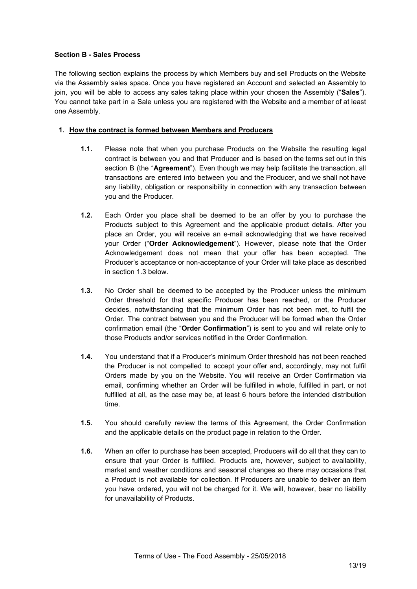### **Section B - Sales Process**

The following section explains the process by which Members buy and sell Products on the Website via the Assembly sales space. Once you have registered an Account and selected an Assembly to join, you will be able to access any sales taking place within your chosen the Assembly ("**Sales**"). You cannot take part in a Sale unless you are registered with the Website and a member of at least one Assembly.

## **1. How the contract is formed between Members and Producers**

- **1.1.** Please note that when you purchase Products on the Website the resulting legal contract is between you and that Producer and is based on the terms set out in this section B (the "**Agreement**"). Even though we may help facilitate the transaction, all transactions are entered into between you and the Producer, and we shall not have any liability, obligation or responsibility in connection with any transaction between you and the Producer.
- **1.2.** Each Order you place shall be deemed to be an offer by you to purchase the Products subject to this Agreement and the applicable product details. After you place an Order, you will receive an e-mail acknowledging that we have received your Order ("**Order Acknowledgement**"). However, please note that the Order Acknowledgement does not mean that your offer has been accepted. The Producer's acceptance or non-acceptance of your Order will take place as described in section 1.3 below.
- **1.3.** No Order shall be deemed to be accepted by the Producer unless the minimum Order threshold for that specific Producer has been reached, or the Producer decides, notwithstanding that the minimum Order has not been met, to fulfil the Order. The contract between you and the Producer will be formed when the Order confirmation email (the "**Order Confirmation**") is sent to you and will relate only to those Products and/or services notified in the Order Confirmation.
- **1.4.** You understand that if a Producer's minimum Order threshold has not been reached the Producer is not compelled to accept your offer and, accordingly, may not fulfil Orders made by you on the Website. You will receive an Order Confirmation via email, confirming whether an Order will be fulfilled in whole, fulfilled in part, or not fulfilled at all, as the case may be, at least 6 hours before the intended distribution time.
- **1.5.** You should carefully review the terms of this Agreement, the Order Confirmation and the applicable details on the product page in relation to the Order.
- **1.6.** When an offer to purchase has been accepted, Producers will do all that they can to ensure that your Order is fulfilled. Products are, however, subject to availability, market and weather conditions and seasonal changes so there may occasions that a Product is not available for collection. If Producers are unable to deliver an item you have ordered, you will not be charged for it. We will, however, bear no liability for unavailability of Products.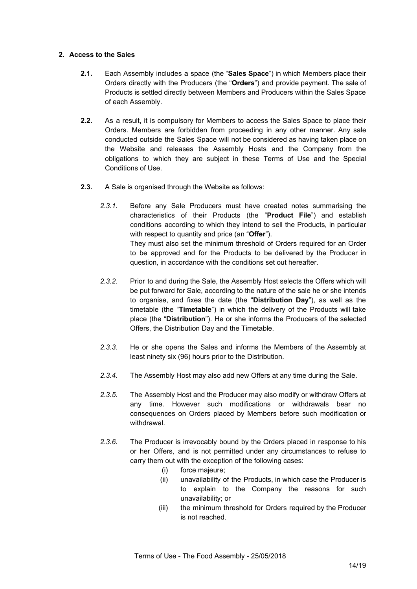### **2. Access to the Sales**

- **2.1.** Each Assembly includes a space (the "**Sales Space**") in which Members place their Orders directly with the Producers (the "**Orders**") and provide payment. The sale of Products is settled directly between Members and Producers within the Sales Space of each Assembly.
- **2.2.** As a result, it is compulsory for Members to access the Sales Space to place their Orders. Members are forbidden from proceeding in any other manner. Any sale conducted outside the Sales Space will not be considered as having taken place on the Website and releases the Assembly Hosts and the Company from the obligations to which they are subject in these Terms of Use and the Special Conditions of Use.
- **2.3.** A Sale is organised through the Website as follows:
	- *2.3.1.* Before any Sale Producers must have created notes summarising the characteristics of their Products (the "**Product File**") and establish conditions according to which they intend to sell the Products, in particular with respect to quantity and price (an "**Offer**"). They must also set the minimum threshold of Orders required for an Order to be approved and for the Products to be delivered by the Producer in question, in accordance with the conditions set out hereafter.
	- *2.3.2.* Prior to and during the Sale, the Assembly Host selects the Offers which will be put forward for Sale, according to the nature of the sale he or she intends to organise, and fixes the date (the "**Distribution Day**"), as well as the timetable (the "**Timetable**") in which the delivery of the Products will take place (the "**Distribution**"). He or she informs the Producers of the selected Offers, the Distribution Day and the Timetable.
	- *2.3.3.* He or she opens the Sales and informs the Members of the Assembly at least ninety six (96) hours prior to the Distribution.
	- *2.3.4.* The Assembly Host may also add new Offers at any time during the Sale.
	- *2.3.5.* The Assembly Host and the Producer may also modify or withdraw Offers at any time. However such modifications or withdrawals bear no consequences on Orders placed by Members before such modification or withdrawal.
	- *2.3.6.* The Producer is irrevocably bound by the Orders placed in response to his or her Offers, and is not permitted under any circumstances to refuse to carry them out with the exception of the following cases:
		- (i) force majeure;
		- (ii) unavailability of the Products, in which case the Producer is to explain to the Company the reasons for such unavailability; or
		- (iii) the minimum threshold for Orders required by the Producer is not reached.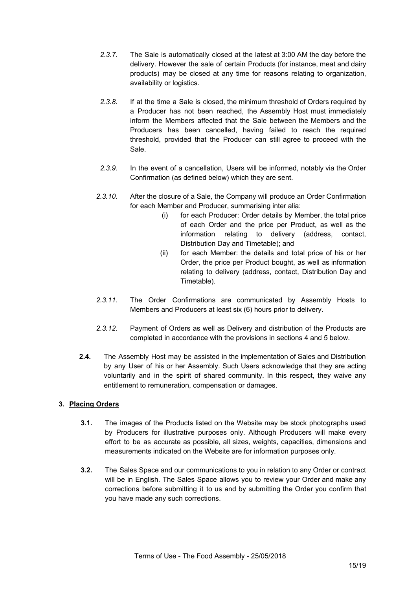- *2.3.7.* The Sale is automatically closed at the latest at 3:00 AM the day before the delivery. However the sale of certain Products (for instance, meat and dairy products) may be closed at any time for reasons relating to organization, availability or logistics.
- *2.3.8.* If at the time a Sale is closed, the minimum threshold of Orders required by a Producer has not been reached, the Assembly Host must immediately inform the Members affected that the Sale between the Members and the Producers has been cancelled, having failed to reach the required threshold, provided that the Producer can still agree to proceed with the Sale.
- *2.3.9.* In the event of a cancellation, Users will be informed, notably via the Order Confirmation (as defined below) which they are sent.
- *2.3.10.* After the closure of a Sale, the Company will produce an Order Confirmation for each Member and Producer, summarising inter alia:
	- (i) for each Producer: Order details by Member, the total price of each Order and the price per Product, as well as the information relating to delivery (address, contact, Distribution Day and Timetable); and
	- (ii) for each Member: the details and total price of his or her Order, the price per Product bought, as well as information relating to delivery (address, contact, Distribution Day and Timetable).
- *2.3.11.* The Order Confirmations are communicated by Assembly Hosts to Members and Producers at least six (6) hours prior to delivery.
- *2.3.12.* Payment of Orders as well as Delivery and distribution of the Products are completed in accordance with the provisions in sections 4 and 5 below.
- **2.4.** The Assembly Host may be assisted in the implementation of Sales and Distribution by any User of his or her Assembly. Such Users acknowledge that they are acting voluntarily and in the spirit of shared community. In this respect, they waive any entitlement to remuneration, compensation or damages.

# **3. Placing Orders**

- **3.1.** The images of the Products listed on the Website may be stock photographs used by Producers for illustrative purposes only. Although Producers will make every effort to be as accurate as possible, all sizes, weights, capacities, dimensions and measurements indicated on the Website are for information purposes only.
- **3.2.** The Sales Space and our communications to you in relation to any Order or contract will be in English. The Sales Space allows you to review your Order and make any corrections before submitting it to us and by submitting the Order you confirm that you have made any such corrections.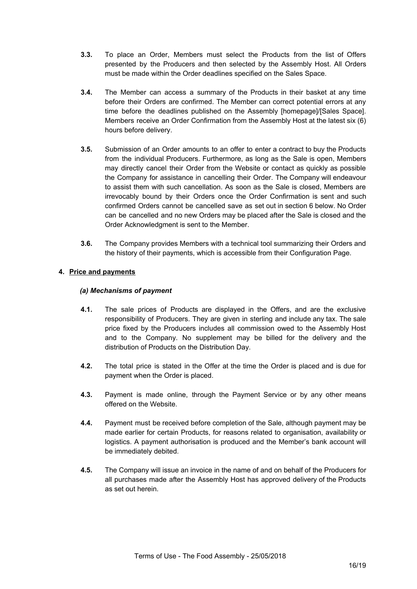- **3.3.** To place an Order, Members must select the Products from the list of Offers presented by the Producers and then selected by the Assembly Host. All Orders must be made within the Order deadlines specified on the Sales Space.
- **3.4.** The Member can access a summary of the Products in their basket at any time before their Orders are confirmed. The Member can correct potential errors at any time before the deadlines published on the Assembly [homepage]/[Sales Space]. Members receive an Order Confirmation from the Assembly Host at the latest six (6) hours before delivery.
- **3.5.** Submission of an Order amounts to an offer to enter a contract to buy the Products from the individual Producers. Furthermore, as long as the Sale is open, Members may directly cancel their Order from the Website or contact as quickly as possible the Company for assistance in cancelling their Order. The Company will endeavour to assist them with such cancellation. As soon as the Sale is closed, Members are irrevocably bound by their Orders once the Order Confirmation is sent and such confirmed Orders cannot be cancelled save as set out in section 6 below. No Order can be cancelled and no new Orders may be placed after the Sale is closed and the Order Acknowledgment is sent to the Member.
- **3.6.** The Company provides Members with a technical tool summarizing their Orders and the history of their payments, which is accessible from their Configuration Page.

# **4. Price and payments**

### *(a) Mechanisms of payment*

- **4.1.** The sale prices of Products are displayed in the Offers, and are the exclusive responsibility of Producers. They are given in sterling and include any tax. The sale price fixed by the Producers includes all commission owed to the Assembly Host and to the Company. No supplement may be billed for the delivery and the distribution of Products on the Distribution Day.
- **4.2.** The total price is stated in the Offer at the time the Order is placed and is due for payment when the Order is placed.
- **4.3.** Payment is made online, through the Payment Service or by any other means offered on the Website.
- **4.4.** Payment must be received before completion of the Sale, although payment may be made earlier for certain Products, for reasons related to organisation, availability or logistics. A payment authorisation is produced and the Member's bank account will be immediately debited.
- **4.5.** The Company will issue an invoice in the name of and on behalf of the Producers for all purchases made after the Assembly Host has approved delivery of the Products as set out herein.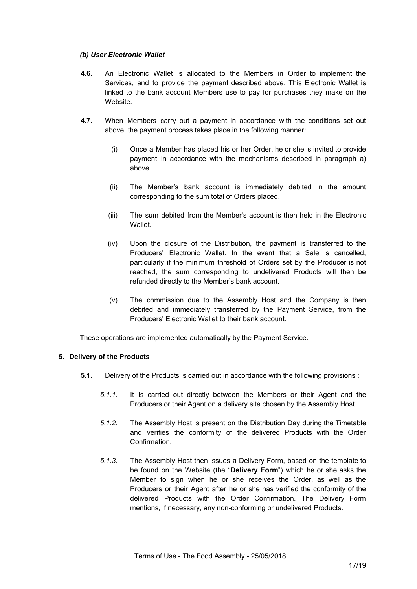### *(b) User Electronic Wallet*

- **4.6.** An Electronic Wallet is allocated to the Members in Order to implement the Services, and to provide the payment described above. This Electronic Wallet is linked to the bank account Members use to pay for purchases they make on the Website.
- **4.7.** When Members carry out a payment in accordance with the conditions set out above, the payment process takes place in the following manner:
	- (i) Once a Member has placed his or her Order, he or she is invited to provide payment in accordance with the mechanisms described in paragraph a) above.
	- (ii) The Member's bank account is immediately debited in the amount corresponding to the sum total of Orders placed.
	- (iii) The sum debited from the Member's account is then held in the Electronic **Wallet**
	- (iv) Upon the closure of the Distribution, the payment is transferred to the Producers' Electronic Wallet. In the event that a Sale is cancelled, particularly if the minimum threshold of Orders set by the Producer is not reached, the sum corresponding to undelivered Products will then be refunded directly to the Member's bank account.
	- (v) The commission due to the Assembly Host and the Company is then debited and immediately transferred by the Payment Service, from the Producers' Electronic Wallet to their bank account.

These operations are implemented automatically by the Payment Service.

### **5. Delivery of the Products**

- **5.1.** Delivery of the Products is carried out in accordance with the following provisions :
	- *5.1.1.* It is carried out directly between the Members or their Agent and the Producers or their Agent on a delivery site chosen by the Assembly Host.
	- *5.1.2.* The Assembly Host is present on the Distribution Day during the Timetable and verifies the conformity of the delivered Products with the Order Confirmation.
	- *5.1.3.* The Assembly Host then issues a Delivery Form, based on the template to be found on the Website (the "**Delivery Form**") which he or she asks the Member to sign when he or she receives the Order, as well as the Producers or their Agent after he or she has verified the conformity of the delivered Products with the Order Confirmation. The Delivery Form mentions, if necessary, any non-conforming or undelivered Products.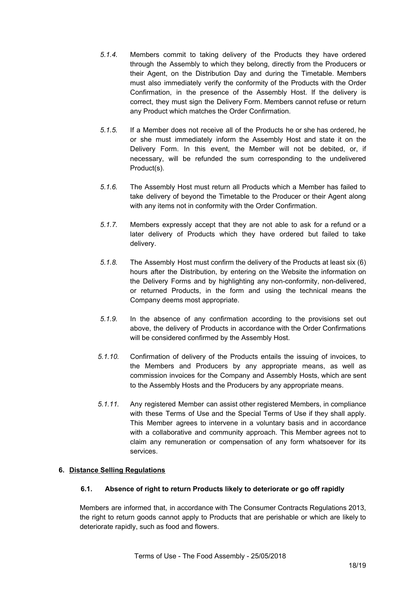- *5.1.4.* Members commit to taking delivery of the Products they have ordered through the Assembly to which they belong, directly from the Producers or their Agent, on the Distribution Day and during the Timetable. Members must also immediately verify the conformity of the Products with the Order Confirmation, in the presence of the Assembly Host. If the delivery is correct, they must sign the Delivery Form. Members cannot refuse or return any Product which matches the Order Confirmation.
- *5.1.5.* If a Member does not receive all of the Products he or she has ordered, he or she must immediately inform the Assembly Host and state it on the Delivery Form. In this event, the Member will not be debited, or, if necessary, will be refunded the sum corresponding to the undelivered Product(s).
- *5.1.6.* The Assembly Host must return all Products which a Member has failed to take delivery of beyond the Timetable to the Producer or their Agent along with any items not in conformity with the Order Confirmation.
- *5.1.7.* Members expressly accept that they are not able to ask for a refund or a later delivery of Products which they have ordered but failed to take delivery.
- *5.1.8.* The Assembly Host must confirm the delivery of the Products at least six (6) hours after the Distribution, by entering on the Website the information on the Delivery Forms and by highlighting any non-conformity, non-delivered, or returned Products, in the form and using the technical means the Company deems most appropriate.
- *5.1.9.* In the absence of any confirmation according to the provisions set out above, the delivery of Products in accordance with the Order Confirmations will be considered confirmed by the Assembly Host.
- *5.1.10.* Confirmation of delivery of the Products entails the issuing of invoices, to the Members and Producers by any appropriate means, as well as commission invoices for the Company and Assembly Hosts, which are sent to the Assembly Hosts and the Producers by any appropriate means.
- *5.1.11.* Any registered Member can assist other registered Members, in compliance with these Terms of Use and the Special Terms of Use if they shall apply. This Member agrees to intervene in a voluntary basis and in accordance with a collaborative and community approach. This Member agrees not to claim any remuneration or compensation of any form whatsoever for its services.

# **6. Distance Selling Regulations**

# **6.1. Absence of right to return Products likely to deteriorate or go off rapidly**

Members are informed that, in accordance with The Consumer Contracts Regulations 2013, the right to return goods cannot apply to Products that are perishable or which are likely to deteriorate rapidly, such as food and flowers.